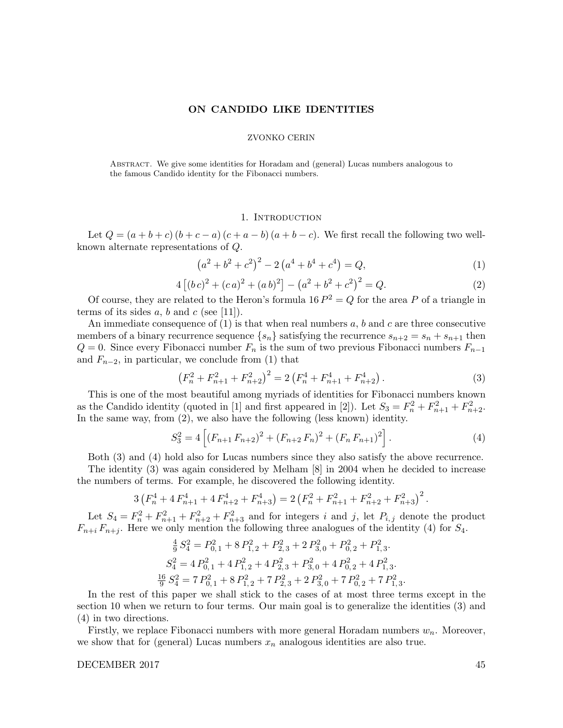#### ON CANDIDO LIKE IDENTITIES

#### ZVONKO CERIN

Abstract. We give some identities for Horadam and (general) Lucas numbers analogous to the famous Candido identity for the Fibonacci numbers.

### 1. Introduction

Let  $Q = (a + b + c) (b + c - a) (c + a - b) (a + b - c)$ . We first recall the following two wellknown alternate representations of Q.

$$
(a2 + b2 + c2)2 - 2(a4 + b4 + c4) = Q,
$$
 (1)

$$
4 [(bc)2 + (ca)2 + (ab)2] - (a2 + b2 + c2)2 = Q.
$$
 (2)

Of course, they are related to the Heron's formula 16  $P^2 = Q$  for the area P of a triangle in terms of its sides  $a, b$  and  $c$  (see [11]).

An immediate consequence of  $(1)$  is that when real numbers a, b and c are three consecutive members of a binary recurrence sequence  $\{s_n\}$  satisfying the recurrence  $s_{n+2} = s_n + s_{n+1}$  then  $Q = 0$ . Since every Fibonacci number  $F_n$  is the sum of two previous Fibonacci numbers  $F_{n-1}$ and  $F_{n-2}$ , in particular, we conclude from (1) that

$$
\left(F_n^2 + F_{n+1}^2 + F_{n+2}^2\right)^2 = 2\left(F_n^4 + F_{n+1}^4 + F_{n+2}^4\right). \tag{3}
$$

This is one of the most beautiful among myriads of identities for Fibonacci numbers known as the Candido identity (quoted in [1] and first appeared in [2]). Let  $S_3 = F_n^2 + F_{n+1}^2 + F_{n+2}^2$ . In the same way, from (2), we also have the following (less known) identity.

$$
S_3^2 = 4\left[ (F_{n+1} F_{n+2})^2 + (F_{n+2} F_n)^2 + (F_n F_{n+1})^2 \right].
$$
 (4)

Both (3) and (4) hold also for Lucas numbers since they also satisfy the above recurrence.

The identity (3) was again considered by Melham [8] in 2004 when he decided to increase the numbers of terms. For example, he discovered the following identity.

$$
3\left(F_n^4 + 4F_{n+1}^4 + 4F_{n+2}^4 + F_{n+3}^4\right) = 2\left(F_n^2 + F_{n+1}^2 + F_{n+2}^2 + F_{n+3}^2\right)^2.
$$

Let  $S_4 = F_n^2 + F_{n+1}^2 + F_{n+2}^2 + F_{n+3}^2$  and for integers i and j, let  $P_{i,j}$  denote the product  $F_{n+i} F_{n+j}$ . Here we only mention the following three analogues of the identity (4) for  $S_4$ .

$$
\frac{4}{9}S_4^2 = P_{0,1}^2 + 8P_{1,2}^2 + P_{2,3}^2 + 2P_{3,0}^2 + P_{0,2}^2 + P_{1,3}^2.
$$
  
\n
$$
S_4^2 = 4P_{0,1}^2 + 4P_{1,2}^2 + 4P_{2,3}^2 + P_{3,0}^2 + 4P_{0,2}^2 + 4P_{1,3}^2.
$$
  
\n
$$
\frac{16}{9}S_4^2 = 7P_{0,1}^2 + 8P_{1,2}^2 + 7P_{2,3}^2 + 2P_{3,0}^2 + 7P_{0,2}^2 + 7P_{1,3}^2.
$$

In the rest of this paper we shall stick to the cases of at most three terms except in the section 10 when we return to four terms. Our main goal is to generalize the identities (3) and (4) in two directions.

Firstly, we replace Fibonacci numbers with more general Horadam numbers  $w_n$ . Moreover, we show that for (general) Lucas numbers  $x_n$  analogous identities are also true.

# DECEMBER 2017 45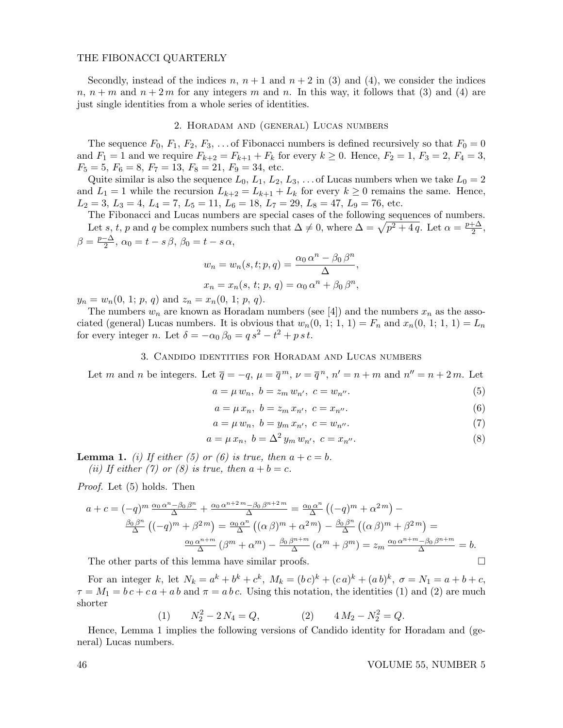### THE FIBONACCI QUARTERLY

Secondly, instead of the indices  $n, n+1$  and  $n+2$  in (3) and (4), we consider the indices  $n, n+m$  and  $n+2m$  for any integers m and n. In this way, it follows that (3) and (4) are just single identities from a whole series of identities.

### 2. Horadam and (general) Lucas numbers

The sequence  $F_0, F_1, F_2, F_3, \ldots$  of Fibonacci numbers is defined recursively so that  $F_0 = 0$ and  $F_1 = 1$  and we require  $F_{k+2} = F_{k+1} + F_k$  for every  $k \ge 0$ . Hence,  $F_2 = 1$ ,  $F_3 = 2$ ,  $F_4 = 3$ ,  $F_5 = 5, F_6 = 8, F_7 = 13, F_8 = 21, F_9 = 34,$  etc.

Quite similar is also the sequence  $L_0$ ,  $L_1$ ,  $L_2$ ,  $L_3$ , ... of Lucas numbers when we take  $L_0 = 2$ and  $L_1 = 1$  while the recursion  $L_{k+2} = L_{k+1} + L_k$  for every  $k \geq 0$  remains the same. Hence,  $L_2 = 3, L_3 = 4, L_4 = 7, L_5 = 11, L_6 = 18, L_7 = 29, L_8 = 47, L_9 = 76,$  etc.

The Fibonacci and Lucas numbers are special cases of the following sequences of numbers. Let s, t, p and q be complex numbers such that  $\Delta \neq 0$ , where  $\Delta = \sqrt{p^2 + 4q}$ . Let  $\alpha = \frac{p + \Delta}{2}$  $\frac{+\Delta}{2}$ ,  $\beta = \frac{p-\Delta}{2}$  $\frac{-\Delta}{2}$ ,  $\alpha_0 = t - s\beta$ ,  $\beta_0 = t - s\alpha$ ,

$$
w_n = w_n(s, t; p, q) = \frac{\alpha_0 \alpha^n - \beta_0 \beta^n}{\Delta},
$$
  

$$
x_n = x_n(s, t; p, q) = \alpha_0 \alpha^n + \beta_0 \beta^n,
$$

 $y_n = w_n(0, 1; p, q)$  and  $z_n = x_n(0, 1; p, q)$ .

The numbers  $w_n$  are known as Horadam numbers (see [4]) and the numbers  $x_n$  as the associated (general) Lucas numbers. It is obvious that  $w_n(0, 1; 1, 1) = F_n$  and  $x_n(0, 1; 1, 1) = L_n$ for every integer *n*. Let  $\delta = -\alpha_0 \beta_0 = q s^2 - t^2 + p s t$ .

### 3. Candido identities for Horadam and Lucas numbers

Let m and n be integers. Let  $\overline{q} = -q$ ,  $\mu = \overline{q}^m$ ,  $\nu = \overline{q}^n$ ,  $n' = n + m$  and  $n'' = n + 2m$ . Let

$$
a = \mu w_n, \ b = z_m w_{n'}, \ c = w_{n''}.
$$
 (5)

$$
a = \mu x_n, \ b = z_m x_{n'}, \ c = x_{n''}.
$$
 (6)

$$
a = \mu w_n, \ b = y_m x_{n'}, \ c = w_{n''}.
$$
 (7)

$$
a = \mu x_n, \ b = \Delta^2 y_m w_{n'}, \ c = x_{n''}.
$$
 (8)

**Lemma 1.** (i) If either (5) or (6) is true, then  $a + c = b$ .

(ii) If either (7) or (8) is true, then  $a + b = c$ .

Proof. Let (5) holds. Then

$$
a + c = (-q)^m \frac{\alpha_0 \alpha^n - \beta_0 \beta^n}{\Delta} + \frac{\alpha_0 \alpha^{n+2m} - \beta_0 \beta^{n+2m}}{\Delta} = \frac{\alpha_0 \alpha^n}{\Delta} \left( (-q)^m + \alpha^{2m} \right) -
$$

$$
\frac{\beta_0 \beta^n}{\Delta} \left( (-q)^m + \beta^{2m} \right) = \frac{\alpha_0 \alpha^n}{\Delta} \left( (\alpha \beta)^m + \alpha^{2m} \right) - \frac{\beta_0 \beta^n}{\Delta} \left( (\alpha \beta)^m + \beta^{2m} \right) =
$$

$$
\frac{\alpha_0 \alpha^{n+m}}{\Delta} \left( \beta^m + \alpha^m \right) - \frac{\beta_0 \beta^{n+m}}{\Delta} \left( \alpha^m + \beta^m \right) = z_m \frac{\alpha_0 \alpha^{n+m} - \beta_0 \beta^{n+m}}{\Delta} = b.
$$

The other parts of this lemma have similar proofs.  $\Box$ 

For an integer k, let  $N_k = a^k + b^k + c^k$ ,  $M_k = (bc)^k + (ca)^k + (ab)^k$ ,  $\sigma = N_1 = a + b + c$ ,  $\tau = M_1 = bc + ca + ab$  and  $\pi = abc$ . Using this notation, the identities (1) and (2) are much shorter

(1) 
$$
N_2^2 - 2N_4 = Q,
$$
  $4M_2 - N_2^2 = Q.$ 

Hence, Lemma 1 implies the following versions of Candido identity for Horadam and (general) Lucas numbers.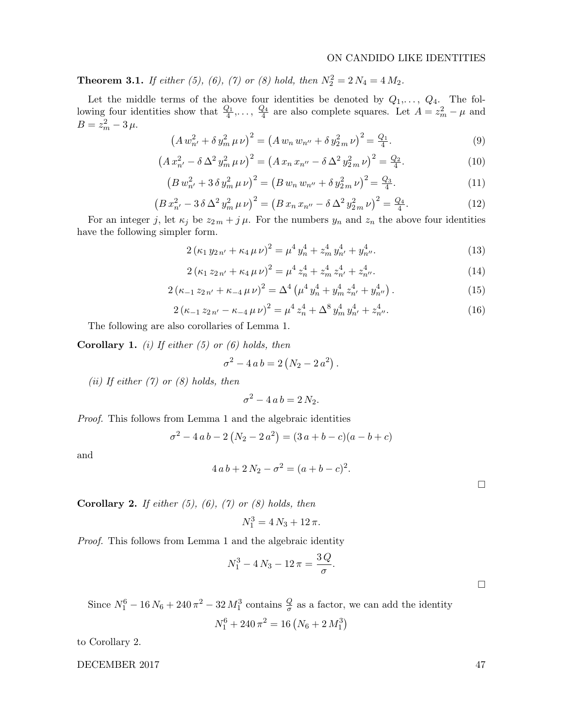# ON CANDIDO LIKE IDENTITIES

**Theorem 3.1.** If either (5), (6), (7) or (8) hold, then  $N_2^2 = 2 N_4 = 4 M_2$ .

Let the middle terms of the above four identities be denoted by  $Q_1, \ldots, Q_4$ . The following four identities show that  $\frac{Q_1}{4}, \ldots, \frac{Q_4}{4}$  $\frac{\partial^2 A}{\partial x^2}$  are also complete squares. Let  $A = z_m^2 - \mu$  and  $B = z_m^2 - 3 \mu.$ 

$$
\left(A w_{n'}^2 + \delta y_m^2 \,\mu \,\nu\right)^2 = \left(A w_n w_{n''} + \delta y_{2m}^2 \,\nu\right)^2 = \frac{Q_1}{4}.\tag{9}
$$

$$
\left(A\,x_{n'}^2 - \delta\,\Delta^2\,y_m^2\,\mu\,\nu\right)^2 = \left(A\,x_n\,x_{n''} - \delta\,\Delta^2\,y_{2\,m}^2\,\nu\right)^2 = \frac{Q_2}{4}.\tag{10}
$$

$$
(B w_{n'}^2 + 3 \delta y_m^2 \mu \nu)^2 = (B w_n w_{n''} + \delta y_{2m}^2 \nu)^2 = \frac{Q_3}{4}.
$$
 (11)

$$
\left(B\,x_{n'}^2 - 3\,\delta\,\Delta^2\,y_{m}^2\,\mu\,\nu\right)^2 = \left(B\,x_n\,x_{n''} - \delta\,\Delta^2\,y_{2\,m}^2\,\nu\right)^2 = \frac{Q_4}{4}.\tag{12}
$$

For an integer j, let  $\kappa_j$  be  $z_{2m} + j\mu$ . For the numbers  $y_n$  and  $z_n$  the above four identities have the following simpler form.

$$
2\left(\kappa_1\,y_{2\,n'} + \kappa_4\,\mu\,\nu\right)^2 = \mu^4\,y_n^4 + z_m^4\,y_{n'}^4 + y_{n''}^4.
$$
\n(13)

$$
2\left(\kappa_1\,z_{2\,n'} + \kappa_4\,\mu\,\nu\right)^2 = \mu^4\,z_n^4 + z_m^4\,z_{n'}^4 + z_{n''}^4.
$$
\n(14)

.

$$
2\left(\kappa_{-1}z_{2n'} + \kappa_{-4}\,\mu\,\nu\right)^2 = \Delta^4\left(\mu^4\,y_n^4 + y_m^4\,z_{n'}^4 + y_{n''}^4\right). \tag{15}
$$

$$
2\left(\kappa_{-1}z_{2n'}-\kappa_{-4}\,\mu\,\nu\right)^2 = \mu^4\,z_n^4 + \Delta^8\,y_m^4\,y_{n'}^4 + z_{n''}^4.\tag{16}
$$

The following are also corollaries of Lemma 1.

**Corollary 1.** (i) If either  $(5)$  or  $(6)$  holds, then

$$
\sigma^2 - 4 a b = 2 (N_2 - 2 a^2).
$$

(ii) If either  $(7)$  or  $(8)$  holds, then

$$
\sigma^2 - 4 a b = 2 N_2.
$$

Proof. This follows from Lemma 1 and the algebraic identities

$$
\sigma^2 - 4ab - 2(N_2 - 2a^2) = (3a + b - c)(a - b + c)
$$

and

$$
4ab + 2N_2 - \sigma^2 = (a + b - c)^2
$$

**Corollary 2.** If either  $(5)$ ,  $(6)$ ,  $(7)$  or  $(8)$  holds, then

$$
N_1^3 = 4 N_3 + 12 \pi.
$$

Proof. This follows from Lemma 1 and the algebraic identity

$$
N_1^3 - 4N_3 - 12\pi = \frac{3Q}{\sigma}.
$$

Since  $N_1^6 - 16N_6 + 240\pi^2 - 32M_1^3$  contains  $\frac{Q}{\sigma}$  as a factor, we can add the identity  $N_1^6 + 240\,\pi^2 = 16\left(N_6+2\,M_1^3\right)$ 

to Corollary 2.

DECEMBER 2017 47

 $\Box$ 

 $\Box$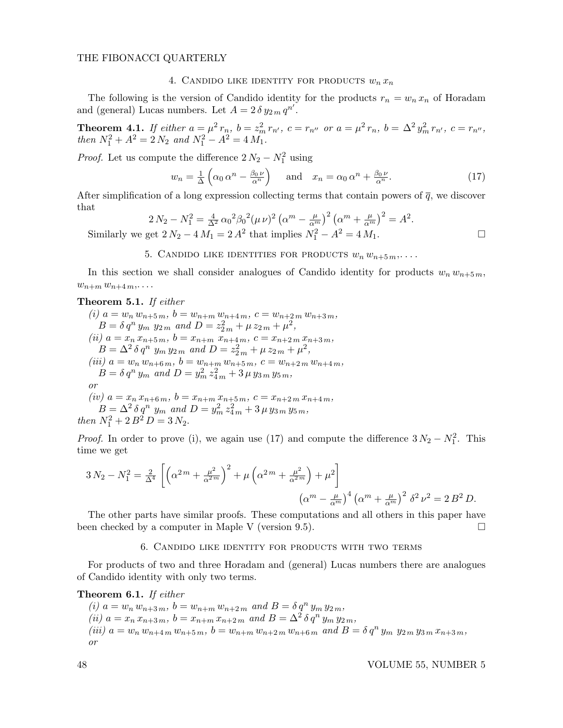#### THE FIBONACCI QUARTERLY

# 4. CANDIDO LIKE IDENTITY FOR PRODUCTS  $w_n x_n$

The following is the version of Candido identity for the products  $r_n = w_n x_n$  of Horadam and (general) Lucas numbers. Let  $A = 2 \delta y_{2m} q^{n'}$ .

**Theorem 4.1.** If either  $a = \mu^2 r_n$ ,  $b = z_m^2 r_{n'}$ ,  $c = r_{n''}$  or  $a = \mu^2 r_n$ ,  $b = \Delta^2 y_m^2 r_{n'}$ ,  $c = r_{n''}$ , then  $N_1^2 + A^2 = 2 N_2$  and  $N_1^2 - A^2 = 4 M_1$ .

*Proof.* Let us compute the difference  $2N_2 - N_1^2$  using

$$
w_n = \frac{1}{\Delta} \left( \alpha_0 \, \alpha^n - \frac{\beta_0 \, \nu}{\alpha^n} \right) \quad \text{and} \quad x_n = \alpha_0 \, \alpha^n + \frac{\beta_0 \, \nu}{\alpha^n}.
$$
 (17)

After simplification of a long expression collecting terms that contain powers of  $\bar{q}$ , we discover that

$$
2 N_2 - N_1^2 = \frac{4}{\Delta^2} \alpha_0^2 \beta_0^2 (\mu \nu)^2 (\alpha^m - \frac{\mu}{\alpha^m})^2 (\alpha^m + \frac{\mu}{\alpha^m})^2 = A^2.
$$
  
Similarly we get  $2 N_2 - 4 M_1 = 2 A^2$  that implies  $N_1^2 - A^2 = 4 M_1$ .

# 5. CANDIDO LIKE IDENTITIES FOR PRODUCTS  $w_n w_{n+5 m}$ ,...

In this section we shall consider analogues of Candido identity for products  $w_n w_{n+5m}$ ,  $w_{n+m}$   $w_{n+4\,m}$ ,...

# Theorem 5.1. If either

(i)  $a = w_n w_{n+5m}$ ,  $b = w_{n+m} w_{n+4m}$ ,  $c = w_{n+2m} w_{n+3m}$ ,  $B = \delta q^n y_m y_{2m}$  and  $D = z_{2m}^2 + \mu z_{2m} + \mu^2$ , (ii)  $a = x_n x_{n+5m}$ ,  $b = x_{n+m} x_{n+4m}$ ,  $c = x_{n+2m} x_{n+3m}$ ,  $B = \Delta^2 \delta q^n$   $y_m y_{2m}$  and  $D = z_{2m}^2 + \mu z_{2m} + \mu^2$ , (iii)  $a = w_n w_{n+6m}$ ,  $b = w_{n+m} w_{n+5m}$ ,  $c = w_{n+2m} w_{n+4m}$ ,  $B = \delta q^n y_m$  and  $D = y_m^2 z_{4m}^2 + 3 \mu y_{3m} y_{5m}$ , or  $(iv)$   $a = x_n x_{n+6m}$ ,  $b = x_{n+m} x_{n+5m}$ ,  $c = x_{n+2m} x_{n+4m}$ ,  $B = \Delta^2 \delta q^n$   $y_m$  and  $D = y_m^2 z_{4m}^2 + 3 \mu y_{3m} y_{5m}$ , then  $N_1^2 + 2 B^2 D = 3 N_2$ .

*Proof.* In order to prove (i), we again use (17) and compute the difference  $3 N_2 - N_1^2$ . This time we get

$$
3 N_2 - N_1^2 = \frac{2}{\Delta^4} \left[ \left( \alpha^{2m} + \frac{\mu^2}{\alpha^{2m}} \right)^2 + \mu \left( \alpha^{2m} + \frac{\mu^2}{\alpha^{2m}} \right) + \mu^2 \right] \qquad ( \alpha^m - \frac{\mu}{\alpha^m} )^4 \left( \alpha^m + \frac{\mu}{\alpha^m} \right)^2 \delta^2 \nu^2 = 2 B^2 D.
$$

The other parts have similar proofs. These computations and all others in this paper have been checked by a computer in Maple V (version 9.5).  $\Box$ 

### 6. Candido like identity for products with two terms

For products of two and three Horadam and (general) Lucas numbers there are analogues of Candido identity with only two terms.

#### Theorem 6.1. If either

(i)  $a = w_n w_{n+3m}$ ,  $b = w_{n+m} w_{n+2m}$  and  $B = \delta q^n y_m y_{2m}$ , (ii)  $a = x_n x_{n+3m}$ ,  $b = x_{n+m} x_{n+2m}$  and  $B = \Delta^2 \delta q^n y_m y_{2m}$ , (iii)  $a = w_n w_{n+4 m} w_{n+5 m}$ ,  $b = w_{n+m} w_{n+2 m} w_{n+6 m}$  and  $B = \delta q^n y_m y_{2 m} y_{3 m} x_{n+3 m}$ , or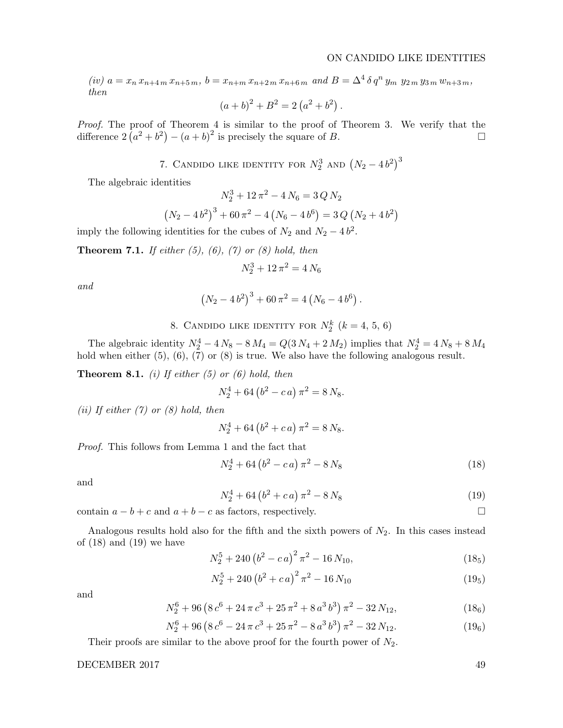(iv)  $a = x_n x_{n+4 m} x_{n+5 m}$ ,  $b = x_{n+m} x_{n+2 m} x_{n+6 m}$  and  $B = \Delta^4 \delta q^n y_m y_{2 m} y_{3 m} w_{n+3 m}$ , then

$$
(a+b)^2 + B^2 = 2(a^2 + b^2).
$$

Proof. The proof of Theorem 4 is similar to the proof of Theorem 3. We verify that the difference  $2(a^2 + b^2) - (a + b)^2$  is precisely the square of B.

7. CANDIDO LIKE IDENTITY FOR  $N_2^3$  and  $(N_2-4b^2)^3$ 

The algebraic identities

$$
N_2^3 + 12\pi^2 - 4N_6 = 3QN_2
$$

$$
(N_2 - 4b^2)^3 + 60\pi^2 - 4(N_6 - 4b^6) = 3Q(N_2 + 4b^2)
$$

imply the following identities for the cubes of  $N_2$  and  $N_2 - 4b^2$ .

**Theorem 7.1.** If either  $(5)$ ,  $(6)$ ,  $(7)$  or  $(8)$  hold, then

$$
N_2^3 + 12\,\pi^2 = 4\,N_6
$$

and

$$
(N_2 - 4b^2)^3 + 60\pi^2 = 4(N_6 - 4b^6).
$$

8. CANDIDO LIKE IDENTITY FOR  $N_2^k$   $(k = 4, 5, 6)$ 

The algebraic identity  $N_2^4 - 4N_8 - 8M_4 = Q(3N_4 + 2M_2)$  implies that  $N_2^4 = 4N_8 + 8M_4$ hold when either  $(5)$ ,  $(6)$ ,  $(7)$  or  $(8)$  is true. We also have the following analogous result.

**Theorem 8.1.** (i) If either  $(5)$  or  $(6)$  hold, then

$$
N_2^4 + 64\left(b^2 - c a\right)\pi^2 = 8 N_8.
$$

(ii) If either  $(7)$  or  $(8)$  hold, then

$$
N_2^4 + 64\left(b^2 + c a\right)\pi^2 = 8 N_8.
$$

Proof. This follows from Lemma 1 and the fact that

$$
N_2^4 + 64\left(b^2 - c\,a\right)\pi^2 - 8\,N_8\tag{18}
$$

and

$$
N_2^4 + 64\left(b^2 + c\,a\right)\pi^2 - 8\,N_8\tag{19}
$$

contain  $a - b + c$  and  $a + b - c$  as factors, respectively.

Analogous results hold also for the fifth and the sixth powers of  $N_2$ . In this cases instead of  $(18)$  and  $(19)$  we have

$$
N_2^5 + 240 \left(b^2 - c a\right)^2 \pi^2 - 16 N_{10},\tag{185}
$$

$$
N_2^5 + 240 \left(b^2 + c a\right)^2 \pi^2 - 16 N_{10} \tag{195}
$$

and

$$
N_2^6 + 96\left(8\,c^6 + 24\,\pi\,c^3 + 25\,\pi^2 + 8\,a^3\,b^3\right)\pi^2 - 32\,N_{12},\tag{186}
$$

$$
N_2^6 + 96\left(8\,c^6 - 24\,\pi\,c^3 + 25\,\pi^2 - 8\,a^3\,b^3\right)\pi^2 - 32\,N_{12}.\tag{196}
$$

Their proofs are similar to the above proof for the fourth power of  $N_2$ .

# DECEMBER 2017 49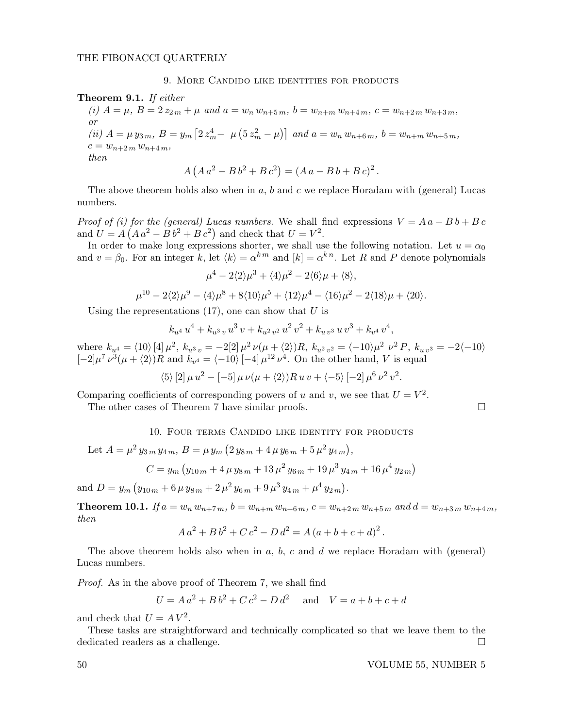# 9. More Candido like identities for products

# Theorem 9.1. If either

(i)  $A = \mu$ ,  $B = 2 z_{2m} + \mu$  and  $a = w_n w_{n+5m}$ ,  $b = w_{n+m} w_{n+4m}$ ,  $c = w_{n+2m} w_{n+3m}$ , or (ii)  $A = \mu y_{3m}, B = y_m \left[ 2 z_m^4 - \mu \left( 5 z_m^2 - \mu \right) \right]$  and  $a = w_n w_{n+6m}, b = w_{n+m} w_{n+5m}$ ,  $c = w_{n+2,m} w_{n+4,m},$ then

$$
A (A a2 – B b2 + B c2) = (A a – B b + B c)2.
$$

The above theorem holds also when in  $a, b$  and  $c$  we replace Horadam with (general) Lucas numbers.

Proof of (i) for the (general) Lucas numbers. We shall find expressions  $V = A a - B b + B c$ and  $U = A (A a^2 - B b^2 + B c^2)$  and check that  $U = V^2$ .

In order to make long expressions shorter, we shall use the following notation. Let  $u = \alpha_0$ and  $v = \beta_0$ . For an integer k, let  $\langle k \rangle = \alpha^{km}$  and  $[k] = \alpha^{kn}$ . Let R and P denote polynomials

$$
\mu^4 - 2\langle 2 \rangle \mu^3 + \langle 4 \rangle \mu^2 - 2\langle 6 \rangle \mu + \langle 8 \rangle,
$$
  

$$
\mu^{10} - 2\langle 2 \rangle \mu^9 - \langle 4 \rangle \mu^8 + 8\langle 10 \rangle \mu^5 + \langle 12 \rangle \mu^4 - \langle 16 \rangle \mu^2 - 2\langle 18 \rangle \mu + \langle 20 \rangle.
$$

Using the representations  $(17)$ , one can show that U is

$$
k_{u^4}u^4 + k_{u^3}u^3v + k_{u^2v^2}u^2v^2 + k_{u^2v^3}uv^3 + k_{v^4}v^4,
$$

where  $k_{u^4} = \langle 10 \rangle [4] \mu^2$ ,  $k_{u^3 v} = -2[2] \mu^2 \nu (\mu + \langle 2 \rangle) R$ ,  $k_{u^2 v^2} = \langle -10 \rangle \mu^2 \nu^2 P$ ,  $k_{u v^3} = -2 \langle -10 \rangle$  $[-2]\mu^7 \nu^3(\mu + \langle 2 \rangle)R$  and  $k_{\nu^4} = \langle -10 \rangle [-4]\mu^{12} \nu^4$ . On the other hand, V is equal

$$
\langle 5 \rangle [2] \mu u^{2} - [-5] \mu \nu (\mu + \langle 2 \rangle) R u v + \langle -5 \rangle [-2] \mu^{6} \nu^{2} v^{2}.
$$

Comparing coefficients of corresponding powers of u and v, we see that  $U = V^2$ .

The other cases of Theorem 7 have similar proofs.

10. FOUR TERMS CANDIDO LIKE IDENTITY FOR PRODUCTS

Let 
$$
A = \mu^2 y_{3m} y_{4m}
$$
,  $B = \mu y_m (2 y_{8m} + 4 \mu y_{6m} + 5 \mu^2 y_{4m})$ ,  
\n $C = y_m (y_{10m} + 4 \mu y_{8m} + 13 \mu^2 y_{6m} + 19 \mu^3 y_{4m} + 16 \mu^4 y_{2m})$ 

and  $D = y_m (y_{10m} + 6 \,\mu \, y_{8m} + 2 \,\mu^2 \, y_{6m} + 9 \,\mu^3 \, y_{4m} + \mu^4 \, y_{2m}).$ 

**Theorem 10.1.** If  $a = w_n w_{n+7m}$ ,  $b = w_{n+m} w_{n+6m}$ ,  $c = w_{n+2m} w_{n+5m}$  and  $d = w_{n+3m} w_{n+4m}$ , then

$$
A a2 + B b2 + C c2 - D d2 = A (a + b + c + d)2.
$$

The above theorem holds also when in  $a, b, c$  and  $d$  we replace Horadam with (general) Lucas numbers.

Proof. As in the above proof of Theorem 7, we shall find

$$
U = A a2 + B b2 + C c2 - D d2 \text{ and } V = a + b + c + d
$$

and check that  $U = A V^2$ .

These tasks are straightforward and technically complicated so that we leave them to the dedicated readers as a challenge.

50 VOLUME 55, NUMBER 5